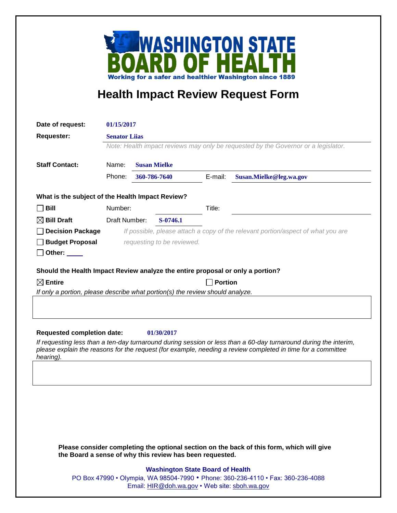

## **Health Impact Review Request Form**

| Date of request:                                                                                                                                                                                                                             | 01/15/2017                                                                         |              |                                               |                |                                                                                  |  |
|----------------------------------------------------------------------------------------------------------------------------------------------------------------------------------------------------------------------------------------------|------------------------------------------------------------------------------------|--------------|-----------------------------------------------|----------------|----------------------------------------------------------------------------------|--|
| <b>Requester:</b>                                                                                                                                                                                                                            | <b>Senator Lijas</b>                                                               |              |                                               |                |                                                                                  |  |
|                                                                                                                                                                                                                                              | Note: Health impact reviews may only be requested by the Governor or a legislator. |              |                                               |                |                                                                                  |  |
|                                                                                                                                                                                                                                              |                                                                                    |              |                                               |                |                                                                                  |  |
| <b>Staff Contact:</b>                                                                                                                                                                                                                        | Name:<br><b>Susan Mielke</b>                                                       |              |                                               |                |                                                                                  |  |
|                                                                                                                                                                                                                                              | Phone:                                                                             | 360-786-7640 |                                               | E-mail:        | Susan.Mielke@leg.wa.gov                                                          |  |
| What is the subject of the Health Impact Review?                                                                                                                                                                                             |                                                                                    |              |                                               |                |                                                                                  |  |
| $\Box$ Bill                                                                                                                                                                                                                                  | Number:                                                                            |              |                                               | Title:         |                                                                                  |  |
| $\boxtimes$ Bill Draft                                                                                                                                                                                                                       | Draft Number:                                                                      |              | $S-0746.1$                                    |                |                                                                                  |  |
| <b>Decision Package</b>                                                                                                                                                                                                                      |                                                                                    |              |                                               |                | If possible, please attach a copy of the relevant portion/aspect of what you are |  |
| <b>Budget Proposal</b>                                                                                                                                                                                                                       |                                                                                    |              | requesting to be reviewed.                    |                |                                                                                  |  |
| Other: $\_\_$                                                                                                                                                                                                                                |                                                                                    |              |                                               |                |                                                                                  |  |
| Should the Health Impact Review analyze the entire proposal or only a portion?                                                                                                                                                               |                                                                                    |              |                                               |                |                                                                                  |  |
| $\boxtimes$ Entire                                                                                                                                                                                                                           |                                                                                    |              |                                               | <b>Portion</b> |                                                                                  |  |
| If only a portion, please describe what portion(s) the review should analyze.                                                                                                                                                                |                                                                                    |              |                                               |                |                                                                                  |  |
|                                                                                                                                                                                                                                              |                                                                                    |              |                                               |                |                                                                                  |  |
|                                                                                                                                                                                                                                              |                                                                                    |              |                                               |                |                                                                                  |  |
| <b>Requested completion date:</b>                                                                                                                                                                                                            |                                                                                    |              | 01/30/2017                                    |                |                                                                                  |  |
| If requesting less than a ten-day turnaround during session or less than a 60-day turnaround during the interim,<br>please explain the reasons for the request (for example, needing a review completed in time for a committee<br>hearing). |                                                                                    |              |                                               |                |                                                                                  |  |
|                                                                                                                                                                                                                                              |                                                                                    |              |                                               |                |                                                                                  |  |
|                                                                                                                                                                                                                                              |                                                                                    |              |                                               |                |                                                                                  |  |
|                                                                                                                                                                                                                                              |                                                                                    |              |                                               |                |                                                                                  |  |
|                                                                                                                                                                                                                                              |                                                                                    |              |                                               |                |                                                                                  |  |
|                                                                                                                                                                                                                                              |                                                                                    |              |                                               |                |                                                                                  |  |
|                                                                                                                                                                                                                                              |                                                                                    |              |                                               |                |                                                                                  |  |
|                                                                                                                                                                                                                                              |                                                                                    |              |                                               |                |                                                                                  |  |
| Please consider completing the optional section on the back of this form, which will give<br>the Board a sense of why this review has been requested.                                                                                        |                                                                                    |              |                                               |                |                                                                                  |  |
| <b>Washington State Board of Health</b>                                                                                                                                                                                                      |                                                                                    |              |                                               |                |                                                                                  |  |
|                                                                                                                                                                                                                                              |                                                                                    |              |                                               |                | PO Box 47990 • Olympia, WA 98504-7990 • Phone: 360-236-4110 • Fax: 360-236-4088  |  |
|                                                                                                                                                                                                                                              |                                                                                    |              | Email: HIR@doh.wa.gov • Web site: sboh.wa.gov |                |                                                                                  |  |